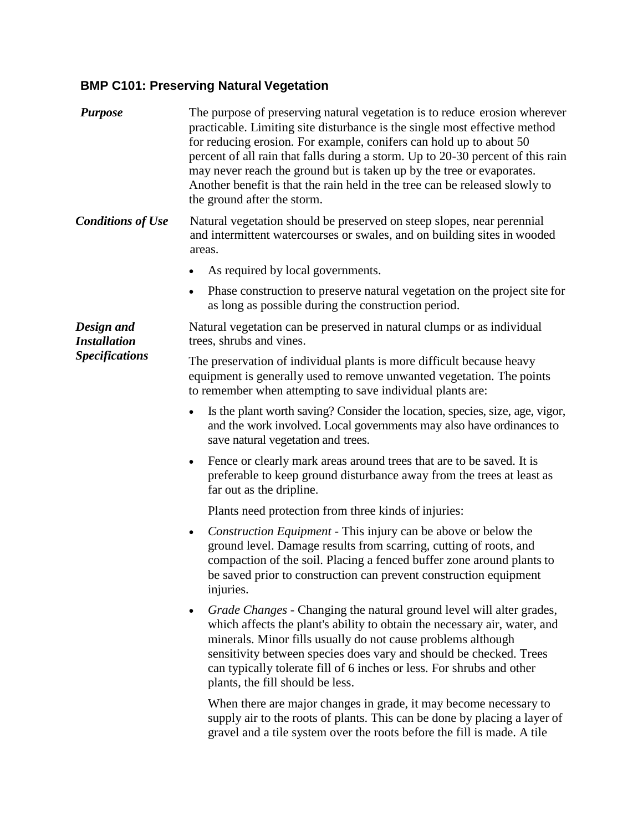## **BMP C101: Preserving Natural Vegetation**

| <b>Purpose</b>                                             | The purpose of preserving natural vegetation is to reduce erosion wherever<br>practicable. Limiting site disturbance is the single most effective method<br>for reducing erosion. For example, conifers can hold up to about 50<br>percent of all rain that falls during a storm. Up to 20-30 percent of this rain<br>may never reach the ground but is taken up by the tree or evaporates.<br>Another benefit is that the rain held in the tree can be released slowly to<br>the ground after the storm. |
|------------------------------------------------------------|-----------------------------------------------------------------------------------------------------------------------------------------------------------------------------------------------------------------------------------------------------------------------------------------------------------------------------------------------------------------------------------------------------------------------------------------------------------------------------------------------------------|
| <b>Conditions of Use</b>                                   | Natural vegetation should be preserved on steep slopes, near perennial<br>and intermittent watercourses or swales, and on building sites in wooded<br>areas.                                                                                                                                                                                                                                                                                                                                              |
|                                                            | As required by local governments.                                                                                                                                                                                                                                                                                                                                                                                                                                                                         |
|                                                            | Phase construction to preserve natural vegetation on the project site for<br>as long as possible during the construction period.                                                                                                                                                                                                                                                                                                                                                                          |
| Design and<br><b>Installation</b><br><b>Specifications</b> | Natural vegetation can be preserved in natural clumps or as individual<br>trees, shrubs and vines.                                                                                                                                                                                                                                                                                                                                                                                                        |
|                                                            | The preservation of individual plants is more difficult because heavy<br>equipment is generally used to remove unwanted vegetation. The points<br>to remember when attempting to save individual plants are:                                                                                                                                                                                                                                                                                              |
|                                                            | Is the plant worth saving? Consider the location, species, size, age, vigor,<br>and the work involved. Local governments may also have ordinances to<br>save natural vegetation and trees.                                                                                                                                                                                                                                                                                                                |
|                                                            | Fence or clearly mark areas around trees that are to be saved. It is<br>$\bullet$<br>preferable to keep ground disturbance away from the trees at least as<br>far out as the dripline.                                                                                                                                                                                                                                                                                                                    |
|                                                            | Plants need protection from three kinds of injuries:                                                                                                                                                                                                                                                                                                                                                                                                                                                      |
|                                                            | <i>Construction Equipment</i> - This injury can be above or below the<br>$\bullet$<br>ground level. Damage results from scarring, cutting of roots, and<br>compaction of the soil. Placing a fenced buffer zone around plants to<br>be saved prior to construction can prevent construction equipment<br>injuries.                                                                                                                                                                                        |
|                                                            | Grade Changes - Changing the natural ground level will alter grades,<br>$\bullet$<br>which affects the plant's ability to obtain the necessary air, water, and<br>minerals. Minor fills usually do not cause problems although<br>sensitivity between species does vary and should be checked. Trees<br>can typically tolerate fill of 6 inches or less. For shrubs and other<br>plants, the fill should be less.                                                                                         |
|                                                            | When there are major changes in grade, it may become necessary to<br>supply air to the roots of plants. This can be done by placing a layer of<br>gravel and a tile system over the roots before the fill is made. A tile                                                                                                                                                                                                                                                                                 |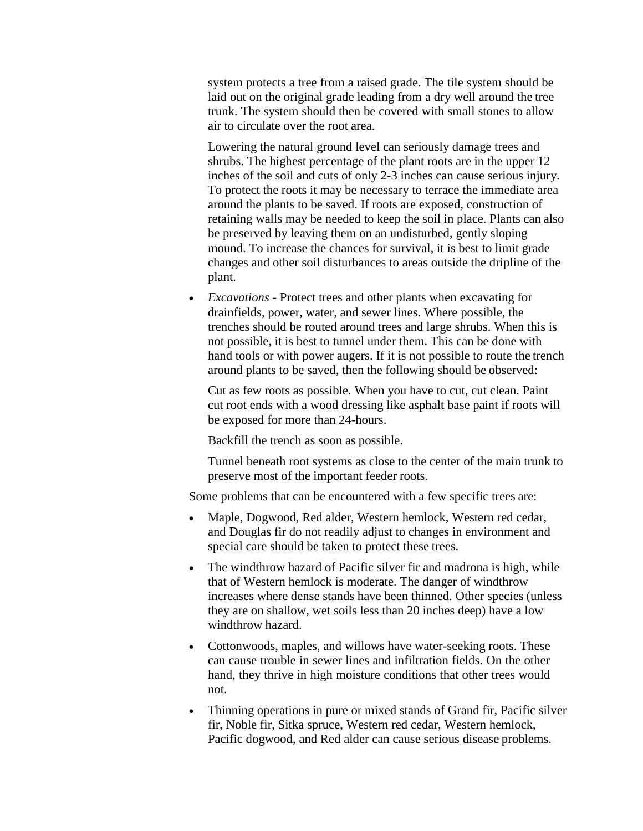system protects a tree from a raised grade. The tile system should be laid out on the original grade leading from a dry well around the tree trunk. The system should then be covered with small stones to allow air to circulate over the root area.

Lowering the natural ground level can seriously damage trees and shrubs. The highest percentage of the plant roots are in the upper 12 inches of the soil and cuts of only 2-3 inches can cause serious injury. To protect the roots it may be necessary to terrace the immediate area around the plants to be saved. If roots are exposed, construction of retaining walls may be needed to keep the soil in place. Plants can also be preserved by leaving them on an undisturbed, gently sloping mound. To increase the chances for survival, it is best to limit grade changes and other soil disturbances to areas outside the dripline of the plant.

 *Excavations* **-** Protect trees and other plants when excavating for drainfields, power, water, and sewer lines. Where possible, the trenches should be routed around trees and large shrubs. When this is not possible, it is best to tunnel under them. This can be done with hand tools or with power augers. If it is not possible to route the trench around plants to be saved, then the following should be observed:

Cut as few roots as possible. When you have to cut, cut clean. Paint cut root ends with a wood dressing like asphalt base paint if roots will be exposed for more than 24-hours.

Backfill the trench as soon as possible.

Tunnel beneath root systems as close to the center of the main trunk to preserve most of the important feeder roots.

Some problems that can be encountered with a few specific trees are:

- Maple, Dogwood, Red alder, Western hemlock, Western red cedar, and Douglas fir do not readily adjust to changes in environment and special care should be taken to protect these trees.
- The windthrow hazard of Pacific silver fir and madrona is high, while that of Western hemlock is moderate. The danger of windthrow increases where dense stands have been thinned. Other species (unless they are on shallow, wet soils less than 20 inches deep) have a low windthrow hazard.
- Cottonwoods, maples, and willows have water-seeking roots. These can cause trouble in sewer lines and infiltration fields. On the other hand, they thrive in high moisture conditions that other trees would not.
- Thinning operations in pure or mixed stands of Grand fir, Pacific silver fir, Noble fir, Sitka spruce, Western red cedar, Western hemlock, Pacific dogwood, and Red alder can cause serious disease problems.